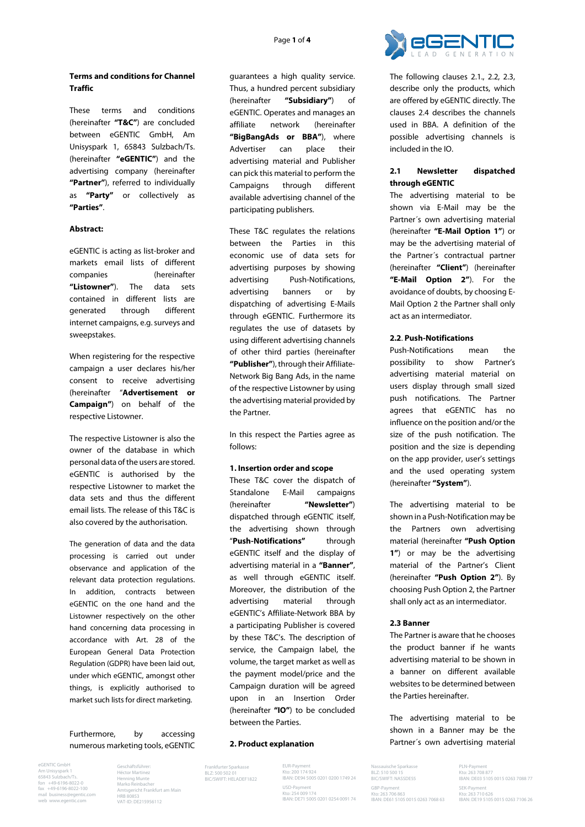## **Terms and conditions for Channel Traffic**

These terms and conditions (hereinafter **"T&C"**) are concluded between eGENTIC GmbH, Am Unisyspark 1, 65843 Sulzbach/Ts. (hereinafter **"eGENTIC"**) and the advertising company (hereinafter **"Partner"**), referred to individually as **"Party"** or collectively as **"Parties"**.

### **Abstract:**

eGENTIC is acting as list-broker and markets email lists of different companies (hereinafter **"Listowner"**). The data sets contained in different lists are generated through different internet campaigns, e.g. surveys and sweepstakes.

When registering for the respective campaign a user declares his/her consent to receive advertising (hereinafter "**Advertisement or Campaign"**) on behalf of the respective Listowner.

The respective Listowner is also the owner of the database in which personal data of the users are stored. eGENTIC is authorised by the respective Listowner to market the data sets and thus the different email lists. The release of this T&C is also covered by the authorisation.

The generation of data and the data processing is carried out under observance and application of the relevant data protection regulations. In addition, contracts between eGENTIC on the one hand and the Listowner respectively on the other hand concerning data processing in accordance with Art. 28 of the European General Data Protection Regulation (GDPR) have been laid out, under which eGENTIC, amongst other things, is explicitly authorised to market such lists for direct marketing.

Furthermore, by accessing numerous marketing tools, eGENTIC

eGENTIC GmbH Am Unisyspark 1 65843 Sulzbach/Ts. fon +49-6196-8022-0 fax +49-6196-8022-100 mail business@egentic.com web www.egentic.com

Geschäftsführer: Héctor Martinez Henning Munte Marko Reinbacher Amtsgericht Frankfurt am Main HRB 80853 VAT-ID: DE215956112

guarantees a high quality service. Thus, a hundred percent subsidiary (hereinafter **"Subsidiary"**) of eGENTIC. Operates and manages an affiliate network (hereinafter **"BigBangAds or BBA"**), where Advertiser can place their advertising material and Publisher can pick this material to perform the Campaigns through different available advertising channel of the participating publishers.

These T&C regulates the relations between the Parties in this economic use of data sets for advertising purposes by showing advertising Push-Notifications, advertising banners or by dispatching of advertising E-Mails through eGENTIC. Furthermore its regulates the use of datasets by using different advertising channels of other third parties (hereinafter **"Publisher"**), through their Affiliate-Network Big Bang Ads, in the name of the respective Listowner by using the advertising material provided by the Partner.

In this respect the Parties agree as follows:

#### **1. Insertion order and scope**

These T&C cover the dispatch of Standalone E-Mail campaigns (hereinafter **"Newsletter"**) dispatched through eGENTIC itself, the advertising shown through "**Push-Notifications"** through eGENTIC itself and the display of advertising material in a **"Banner"**, as well through eGENTIC itself. Moreover, the distribution of the advertising material through eGENTIC's Affiliate-Network BBA by a participating Publisher is covered by these T&C's. The description of service, the Campaign label, the volume, the target market as well as the payment model/price and the Campaign duration will be agreed upon in an Insertion Order (hereinafter **"IO"**) to be concluded between the Parties.

#### **2. Product explanation**

Frankfurter Sparkasse BLZ: 500 502 01 BIC/SWIFT: HELADEF1822

EUR-Payment Kto: 200 174 924 IBAN: DE94 5005 0201 0200 1749 24 USD-Payment Kto: 254 009 174 IBAN: DE71 5005 0201 0254 0091 74



The following clauses 2.1., 2.2, 2.3, describe only the products, which are offered by eGENTIC directly. The clauses 2.4 describes the channels used in BBA. A definition of the possible advertising channels is included in the IO.

## **2.1 Newsletter dispatched through eGENTIC**

The advertising material to be shown via E-Mail may be the Partner´s own advertising material (hereinafter **"E-Mail Option 1"**) or may be the advertising material of the Partner´s contractual partner (hereinafter **"Client"**) (hereinafter **"E-Mail Option 2"**). For the avoidance of doubts, by choosing E-Mail Option 2 the Partner shall only act as an intermediator.

### **2.2**. **Push-Notifications**

Push-Notifications mean the possibility to show Partner's advertising material material on users display through small sized push notifications. The Partner agrees that eGENTIC has no influence on the position and/or the size of the push notification. The position and the size is depending on the app provider, user's settings and the used operating system (hereinafter **"System"**).

The advertising material to be shown in a Push-Notification may be the Partners own advertising material (hereinafter **"Push Option 1"**) or may be the advertising material of the Partner's Client (hereinafter **"Push Option 2"**). By choosing Push Option 2, the Partner shall only act as an intermediator.

## **2.3 Banner**

Nassauische Sparkasse BLZ: 510 500 15 BIC/SWIFT: NASSDE55 GRP-Paym

Kto: 263 706 863 IBAN: DE61 5105 0015 0263 7068 63

The Partner is aware that he chooses the product banner if he wants advertising material to be shown in a banner on different available websites to be determined between the Parties hereinafter.

The advertising material to be shown in a Banner may be the Partner´s own advertising material

> PLN-Payme Kto: 263 708 877 IBAN: DE03 5105 0015 0263 7088 77 SFK-Payment Kto: 263 710 626 IBAN: DE19 5105 0015 0263 7106 26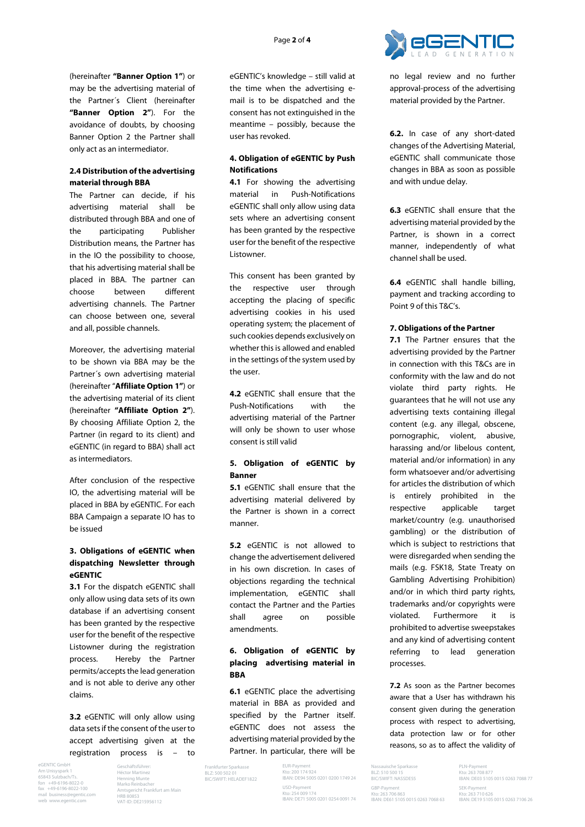

(hereinafter **"Banner Option 1"**) or may be the advertising material of the Partner´s Client (hereinafter **"Banner Option 2"**). For the avoidance of doubts, by choosing Banner Option 2 the Partner shall only act as an intermediator.

## **2.4 Distribution of the advertising material through BBA**

The Partner can decide, if his advertising material shall be distributed through BBA and one of the participating Publisher Distribution means, the Partner has in the IO the possibility to choose, that his advertising material shall be placed in BBA. The partner can choose between different advertising channels. The Partner can choose between one, several and all, possible channels.

Moreover, the advertising material to be shown via BBA may be the Partner´s own advertising material (hereinafter "**Affiliate Option 1"**) or the advertising material of its client (hereinafter **"Affiliate Option 2"**). By choosing Affiliate Option 2, the Partner (in regard to its client) and eGENTIC (in regard to BBA) shall act as intermediators.

After conclusion of the respective IO, the advertising material will be placed in BBA by eGENTIC. For each BBA Campaign a separate IO has to be issued

# **3. Obligations of eGENTIC when dispatching Newsletter through eGENTIC**

**3.1** For the dispatch eGENTIC shall only allow using data sets of its own database if an advertising consent has been granted by the respective user for the benefit of the respective Listowner during the registration process. Hereby the Partner permits/accepts the lead generation and is not able to derive any other claims.

**3.2** eGENTIC will only allow using data sets if the consent of the user to accept advertising given at the registration process is – to

eGENTIC GmbH Am Unisyspark 1 65843 Sulzbach/Ts. fon +49-6196-8022-0 fax +49-6196-8022-100 mail business@egentic.com web www.egentic.com

Geschäftsführer: Héctor Martinez Henning Munte Marko Reinbacher Amtsgericht Frankfurt am Main HRB 80853 VAT-ID: DE215956112

eGENTIC's knowledge – still valid at the time when the advertising email is to be dispatched and the consent has not extinguished in the meantime – possibly, because the user has revoked.

## **4. Obligation of eGENTIC by Push Notifications**

**4.1** For showing the advertising material in Push-Notifications eGENTIC shall only allow using data sets where an advertising consent has been granted by the respective user for the benefit of the respective Listowner.

This consent has been granted by the respective user through accepting the placing of specific advertising cookies in his used operating system; the placement of such cookies depends exclusively on whether this is allowed and enabled in the settings of the system used by the user.

**4.2** eGENTIC shall ensure that the Push-Notifications with the advertising material of the Partner will only be shown to user whose consent is still valid

## **5. Obligation of eGENTIC by Banner**

**5.1** eGENTIC shall ensure that the advertising material delivered by the Partner is shown in a correct manner.

**5.2** eGENTIC is not allowed to change the advertisement delivered in his own discretion. In cases of objections regarding the technical implementation, eGENTIC shall contact the Partner and the Parties shall agree on possible amendments.

# **6. Obligation of eGENTIC by placing advertising material in BBA**

**6.1** eGENTIC place the advertising material in BBA as provided and specified by the Partner itself. eGENTIC does not assess the advertising material provided by the Partner. In particular, there will be

Frankfurter Sparkasse BLZ: 500 502 01 BIC/SWIFT: HELADEF1822

EUR-Payment Kto: 200 174 924 IBAN: DE94 5005 0201 0200 1749 24 USD-Payment Kto: 254 009 174 IBAN: DE71 5005 0201 0254 0091 74

Nassauische Sparkasse BLZ: 510 500 15 BIC/SWIFT: NASSDE55 GRP-Paym Kto: 263 706 863 IBAN: DE61 5105 0015 0263 7068 63

PLN-Pay Kto: 263 708 877 IBAN: DE03 5105 0015 0263 7088 77 SFK-Payme Kto: 263 710 626 IBAN: DE19 5105 0015 0263 7106 26

no legal review and no further approval-process of the advertising material provided by the Partner.

**6.2.** In case of any short-dated changes of the Advertising Material, eGENTIC shall communicate those changes in BBA as soon as possible and with undue delay.

**6.3** eGENTIC shall ensure that the advertising material provided by the Partner, is shown in a correct manner, independently of what channel shall be used.

**6.4** eGENTIC shall handle billing, payment and tracking according to Point 9 of this T&C's.

### **7. Obligations of the Partner**

**7.1** The Partner ensures that the advertising provided by the Partner in connection with this T&Cs are in conformity with the law and do not violate third party rights. He guarantees that he will not use any advertising texts containing illegal content (e.g. any illegal, obscene, pornographic, violent, abusive, harassing and/or libelous content, material and/or information) in any form whatsoever and/or advertising for articles the distribution of which is entirely prohibited in the respective applicable target market/country (e.g. unauthorised gambling) or the distribution of which is subject to restrictions that were disregarded when sending the mails (e.g. FSK18, State Treaty on Gambling Advertising Prohibition) and/or in which third party rights, trademarks and/or copyrights were violated. Furthermore it is prohibited to advertise sweepstakes and any kind of advertising content referring to lead generation processes.

**7.2** As soon as the Partner becomes aware that a User has withdrawn his consent given during the generation process with respect to advertising, data protection law or for other reasons, so as to affect the validity of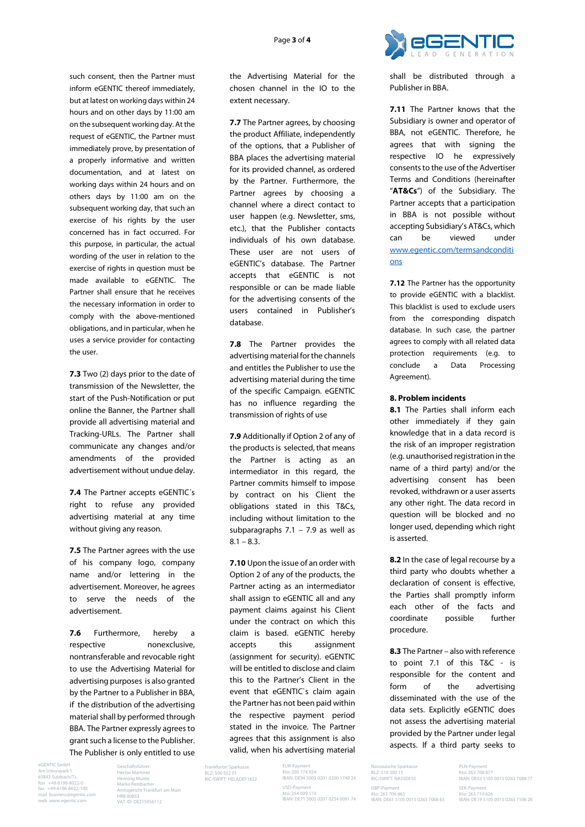

such consent, then the Partner must inform eGENTIC thereof immediately, but at latest on working days within 24 hours and on other days by 11:00 am on the subsequent working day. At the request of eGENTIC, the Partner must immediately prove, by presentation of a properly informative and written documentation, and at latest on working days within 24 hours and on others days by 11:00 am on the subsequent working day, that such an exercise of his rights by the user concerned has in fact occurred. For this purpose, in particular, the actual wording of the user in relation to the exercise of rights in question must be made available to eGENTIC. The Partner shall ensure that he receives the necessary information in order to comply with the above-mentioned obligations, and in particular, when he uses a service provider for contacting the user.

**7.3** Two (2) days prior to the date of transmission of the Newsletter, the start of the Push-Notification or put online the Banner, the Partner shall provide all advertising material and Tracking-URLs. The Partner shall communicate any changes and/or amendments of the provided advertisement without undue delay.

**7.4** The Partner accepts eGENTIC´s right to refuse any provided advertising material at any time without giving any reason.

**7.5** The Partner agrees with the use of his company logo, company name and/or lettering in the advertisement. Moreover, he agrees to serve the needs of the advertisement.

**7.6** Furthermore, hereby a respective nonexclusive, nontransferable and revocable right to use the Advertising Material for advertising purposes is also granted by the Partner to a Publisher in BBA, if the distribution of the advertising material shall by performed through BBA. The Partner expressly agrees to grant such a license to the Publisher. The Publisher is only entitled to use

eGENTIC GmbH Am Unisyspark 1 65843 Sulzbach/Ts. fon +49-6196-8022-0 fax +49-6196-8022-100 mail business@egentic.com web www.egentic.com

Geschäftsführer: Héctor Martinez Henning Munte Marko Reinbacher Amtsgericht Frankfurt am Main HRB 80853 VAT-ID: DE215956112

the Advertising Material for the chosen channel in the IO to the extent necessary.

**7.7** The Partner agrees, by choosing the product Affiliate, independently of the options, that a Publisher of BBA places the advertising material for its provided channel, as ordered by the Partner. Furthermore, the Partner agrees by choosing a channel where a direct contact to user happen (e.g. Newsletter, sms, etc.), that the Publisher contacts individuals of his own database. These user are not users of eGENTIC's database. The Partner accepts that eGENTIC is not responsible or can be made liable for the advertising consents of the users contained in Publisher's database.

**7.8** The Partner provides the advertising material for the channels and entitles the Publisher to use the advertising material during the time of the specific Campaign. eGENTIC has no influence regarding the transmission of rights of use

**7.9** Additionally if Option 2 of any of the products is selected, that means the Partner is acting as an intermediator in this regard, the Partner commits himself to impose by contract on his Client the obligations stated in this T&Cs, including without limitation to the subparagraphs 7.1 – 7.9 as well as  $8.1 - 8.3$ 

**7.10** Upon the issue of an order with Option 2 of any of the products, the Partner acting as an intermediator shall assign to eGENTIC all and any payment claims against his Client under the contract on which this claim is based. eGENTIC hereby accepts this assignment (assignment for security). eGENTIC will be entitled to disclose and claim this to the Partner's Client in the event that eGENTIC`s claim again the Partner has not been paid within the respective payment period stated in the invoice. The Partner agrees that this assignment is also valid, when his advertising material

Frankfurter Sparkasse BLZ: 500 502 01 BIC/SWIFT: HELADEF1822

EUR-Payment Kto: 200 174 924 IBAN: DE94 5005 0201 0200 1749 24 USD-Payment Kto: 254 009 174 IBAN: DE71 5005 0201 0254 0091 74

Nassauische Sparkasse BLZ: 510 500 15 BIC/SWIFT: NASSDE55 GRP-Paym Kto: 263 706 863 IBAN: DE61 5105 0015 0263 7068 63

PLN-Paym Kto: 263 708 877 IBAN: DE03 5105 0015 0263 7088 77 SEK-Payment Kto: 263 710 626 IBAN: DE19 5105 0015 0263 7106 26

shall be distributed through a Publisher in BBA.

**7.11** The Partner knows that the Subsidiary is owner and operator of BBA, not eGENTIC. Therefore, he agrees that with signing the respective IO he expressively consents to the use of the Advertiser Terms and Conditions (hereinafter "**AT&Cs**") of the Subsidiary. The Partner accepts that a participation in BBA is not possible without accepting Subsidiary's AT&Cs, which can be viewed under [www.egentic.com/termsandconditi](http://www.egentic.com/termsandconditions) [ons](http://www.egentic.com/termsandconditions)

**7.12** The Partner has the opportunity to provide eGENTIC with a blacklist. This blacklist is used to exclude users from the corresponding dispatch database. In such case, the partner agrees to comply with all related data protection requirements (e.g. to conclude a Data Processing Agreement).

### **8. Problem incidents**

**8.1** The Parties shall inform each other immediately if they gain knowledge that in a data record is the risk of an improper registration (e.g. unauthorised registration in the name of a third party) and/or the advertising consent has been revoked, withdrawn or a user asserts any other right. The data record in question will be blocked and no longer used, depending which right is asserted.

**8.2** In the case of legal recourse by a third party who doubts whether a declaration of consent is effective, the Parties shall promptly inform each other of the facts and coordinate possible further procedure.

**8.3** The Partner – also with reference to point 7.1 of this T&C - is responsible for the content and form of the advertising disseminated with the use of the data sets. Explicitly eGENTIC does not assess the advertising material provided by the Partner under legal aspects. If a third party seeks to